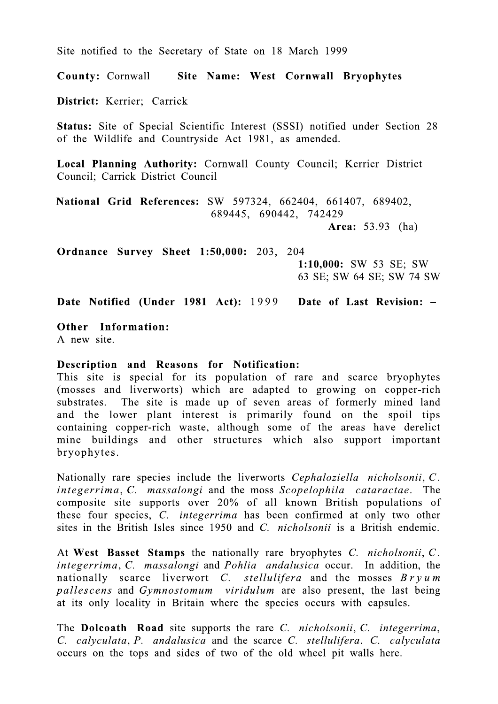Site notified to the Secretary of State on 18 March 1999

**County: Cornwall** Site Name: West Cornwall Bryophytes

District: Kerrier: Carrick

Status: Site of Special Scientific Interest (SSSI) notified under Section 28 of the Wildlife and Countryside Act 1981, as amended.

Local Planning Authority: Cornwall County Council; Kerrier District Council; Carrick District Council

National Grid References: SW 597324, 662404, 661407, 689402, 689445, 690442, 742429

**Area:** 53.93 (ha)

**Ordnance Survey Sheet 1:50,000: 203, 204** 

1:10,000: SW 53 SE; SW 63 SE; SW 64 SE; SW 74 SW

Date Notified (Under 1981 Act): 1999 Date of Last Revision: -

Other Information:

A new site.

## Description and Reasons for Notification:

This site is special for its population of rare and scarce bryophytes (mosses and liverworts) which are adapted to growing on copper-rich substrates. The site is made up of seven areas of formerly mined land and the lower plant interest is primarily found on the spoil tips containing copper-rich waste, although some of the areas have derelict mine buildings and other structures which also support important bryophytes.

Nationally rare species include the liverworts Cephaloziella nicholsonii, C. integerrima, C. massalongi and the moss Scopelophila cataractae. The composite site supports over 20% of all known British populations of these four species, C. *integerrima* has been confirmed at only two other sites in the British Isles since 1950 and C. *nicholsonii* is a British endemic.

At West Basset Stamps the nationally rare bryophytes C. nicholsonii, C. *integerrima, C. massalongi* and *Pohlia andalusica* occur. In addition, the nationally scarce liverwort C. stellulifera and the mosses  $Bryum$ pallescens and Gymnostomum viridulum are also present, the last being at its only locality in Britain where the species occurs with capsules.

The **Dolcoath** Road site supports the rare C. *nicholsonii*, C. *integerrima*, C. calyculata, P. andalusica and the scarce C. stellulifera. C. calyculata occurs on the tops and sides of two of the old wheel pit walls here.